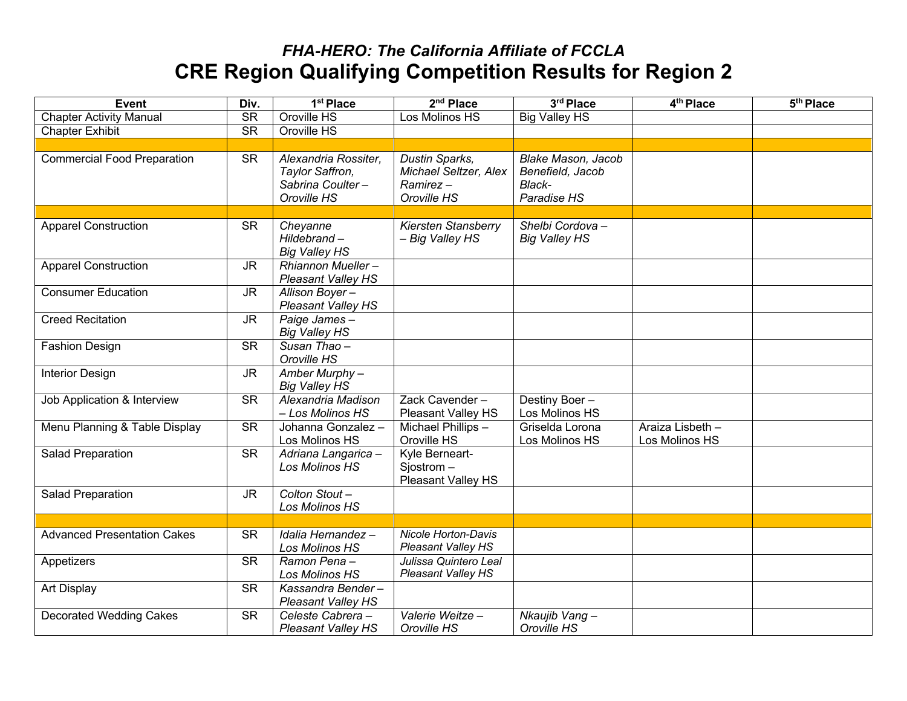| <b>Event</b>                       | Div.                   | 1 <sup>st</sup> Place                                                      | 2 <sup>nd</sup> Place                                              | 3rd Place                                                       | 4 <sup>th</sup> Place              | 5 <sup>th</sup> Place |
|------------------------------------|------------------------|----------------------------------------------------------------------------|--------------------------------------------------------------------|-----------------------------------------------------------------|------------------------------------|-----------------------|
| <b>Chapter Activity Manual</b>     | $\overline{\text{SR}}$ | Oroville HS                                                                | Los Molinos HS                                                     | <b>Big Valley HS</b>                                            |                                    |                       |
| <b>Chapter Exhibit</b>             | <b>SR</b>              | Oroville HS                                                                |                                                                    |                                                                 |                                    |                       |
|                                    |                        |                                                                            |                                                                    |                                                                 |                                    |                       |
| <b>Commercial Food Preparation</b> | <b>SR</b>              | Alexandria Rossiter,<br>Taylor Saffron,<br>Sabrina Coulter-<br>Oroville HS | Dustin Sparks,<br>Michael Seltzer, Alex<br>Ramirez-<br>Oroville HS | Blake Mason, Jacob<br>Benefield, Jacob<br>Black-<br>Paradise HS |                                    |                       |
|                                    |                        |                                                                            |                                                                    |                                                                 |                                    |                       |
| <b>Apparel Construction</b>        | <b>SR</b>              | Cheyanne<br>Hildebrand-<br><b>Big Valley HS</b>                            | <b>Kiersten Stansberry</b><br>- Big Valley HS                      | Shelbi Cordova-<br><b>Big Valley HS</b>                         |                                    |                       |
| <b>Apparel Construction</b>        | <b>JR</b>              | Rhiannon Mueller-<br><b>Pleasant Valley HS</b>                             |                                                                    |                                                                 |                                    |                       |
| <b>Consumer Education</b>          | <b>JR</b>              | Allison Boyer-<br>Pleasant Valley HS                                       |                                                                    |                                                                 |                                    |                       |
| <b>Creed Recitation</b>            | <b>JR</b>              | Paige James-<br><b>Big Valley HS</b>                                       |                                                                    |                                                                 |                                    |                       |
| <b>Fashion Design</b>              | <b>SR</b>              | Susan Thao-<br>Oroville HS                                                 |                                                                    |                                                                 |                                    |                       |
| <b>Interior Design</b>             | <b>JR</b>              | $\overline{A}$ mber Murphy –<br><b>Big Valley HS</b>                       |                                                                    |                                                                 |                                    |                       |
| Job Application & Interview        | <b>SR</b>              | Alexandria Madison<br>- Los Molinos HS                                     | Zack Cavender-<br>Pleasant Valley HS                               | Destiny Boer-<br>Los Molinos HS                                 |                                    |                       |
| Menu Planning & Table Display      | $\overline{\text{SR}}$ | Johanna Gonzalez -<br>Los Molinos HS                                       | Michael Phillips -<br>Oroville HS                                  | Griselda Lorona<br>Los Molinos HS                               | Araiza Lisbeth -<br>Los Molinos HS |                       |
| Salad Preparation                  | <b>SR</b>              | Adriana Langarica -<br>Los Molinos HS                                      | Kyle Berneart-<br>Sjostrom-<br>Pleasant Valley HS                  |                                                                 |                                    |                       |
| Salad Preparation                  | <b>JR</b>              | Colton Stout-<br>Los Molinos HS                                            |                                                                    |                                                                 |                                    |                       |
|                                    |                        |                                                                            |                                                                    |                                                                 |                                    |                       |
| <b>Advanced Presentation Cakes</b> | <b>SR</b>              | Idalia Hernandez -<br>Los Molinos HS                                       | <b>Nicole Horton-Davis</b><br><b>Pleasant Valley HS</b>            |                                                                 |                                    |                       |
| Appetizers                         | <b>SR</b>              | Ramon Pena-<br>Los Molinos HS                                              | Julissa Quintero Leal<br><b>Pleasant Valley HS</b>                 |                                                                 |                                    |                       |
| Art Display                        | <b>SR</b>              | Kassandra Bender-<br>Pleasant Valley HS                                    |                                                                    |                                                                 |                                    |                       |
| <b>Decorated Wedding Cakes</b>     | $\overline{\text{SR}}$ | Celeste Cabrera -<br><b>Pleasant Valley HS</b>                             | Valerie Weitze-<br>Oroville HS                                     | Nkaujib Vang-<br>Oroville HS                                    |                                    |                       |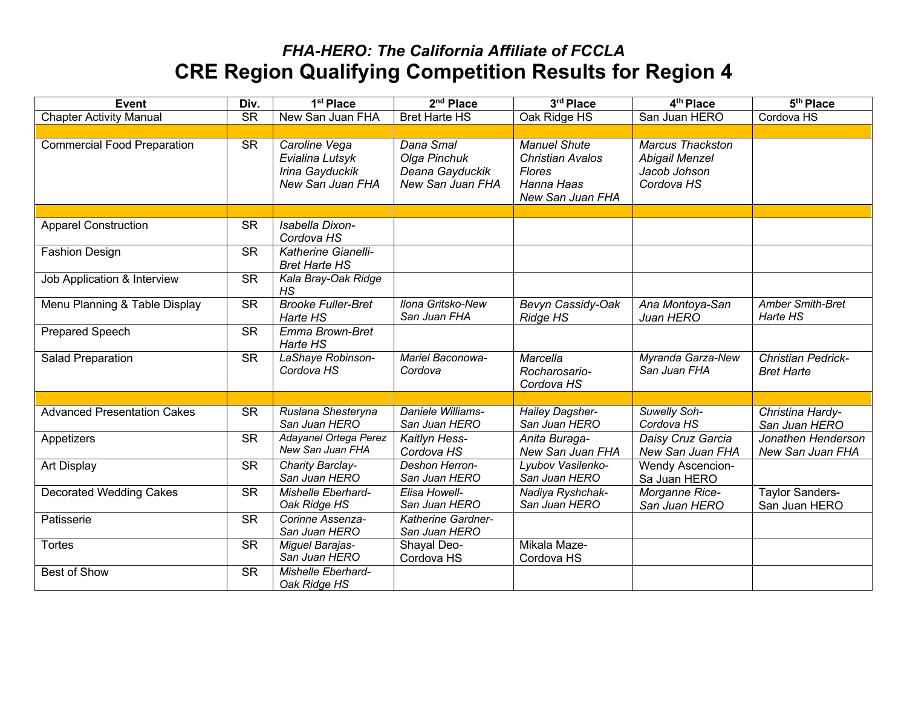| <b>Event</b>                       | Div.                   | 1 <sup>st</sup> Place                                                   | 2 <sup>nd</sup> Place                                            | 3rd Place                                                                                  | 4 <sup>th</sup> Place                                                   | $\overline{5^{th}}$ Place                      |
|------------------------------------|------------------------|-------------------------------------------------------------------------|------------------------------------------------------------------|--------------------------------------------------------------------------------------------|-------------------------------------------------------------------------|------------------------------------------------|
| <b>Chapter Activity Manual</b>     | <b>SR</b>              | New San Juan FHA                                                        | <b>Bret Harte HS</b>                                             | Oak Ridge HS                                                                               | San Juan HERO                                                           | Cordova HS                                     |
|                                    |                        |                                                                         |                                                                  |                                                                                            |                                                                         |                                                |
| <b>Commercial Food Preparation</b> | <b>SR</b>              | Caroline Vega<br>Evialina Lutsyk<br>Irina Gayduckik<br>New San Juan FHA | Dana Smal<br>Olga Pinchuk<br>Deana Gayduckik<br>New San Juan FHA | <b>Manuel Shute</b><br><b>Christian Avalos</b><br>Flores<br>Hanna Haas<br>New San Juan FHA | <b>Marcus Thackston</b><br>Abigail Menzel<br>Jacob Johson<br>Cordova HS |                                                |
|                                    |                        |                                                                         |                                                                  |                                                                                            |                                                                         |                                                |
| <b>Apparel Construction</b>        | <b>SR</b>              | Isabella Dixon-<br>Cordova HS                                           |                                                                  |                                                                                            |                                                                         |                                                |
| <b>Fashion Design</b>              | <b>SR</b>              | Katherine Gianelli-<br><b>Bret Harte HS</b>                             |                                                                  |                                                                                            |                                                                         |                                                |
| Job Application & Interview        | $\overline{\text{SR}}$ | Kala Bray-Oak Ridge<br>HS                                               |                                                                  |                                                                                            |                                                                         |                                                |
| Menu Planning & Table Display      | <b>SR</b>              | <b>Brooke Fuller-Bret</b><br>Harte HS                                   | Ilona Gritsko-New<br>San Juan FHA                                | Bevyn Cassidy-Oak<br>Ridge HS                                                              | Ana Montoya-San<br>Juan HERO                                            | <b>Amber Smith-Bret</b><br>Harte HS            |
| <b>Prepared Speech</b>             | <b>SR</b>              | Emma Brown-Bret<br>Harte HS                                             |                                                                  |                                                                                            |                                                                         |                                                |
| Salad Preparation                  | <b>SR</b>              | LaShaye Robinson-<br>Cordova HS                                         | Mariel Baconowa-<br>Cordova                                      | Marcella<br>Rocharosario-<br>Cordova HS                                                    | Myranda Garza-New<br>San Juan FHA                                       | <b>Christian Pedrick-</b><br><b>Bret Harte</b> |
|                                    |                        |                                                                         |                                                                  |                                                                                            |                                                                         |                                                |
| <b>Advanced Presentation Cakes</b> | <b>SR</b>              | Ruslana Shesteryna<br>San Juan HERO                                     | Daniele Williams-<br>San Juan HERO                               | <b>Hailey Dagsher-</b><br>San Juan HERO                                                    | Suwelly Soh-<br>Cordova HS                                              | Christina Hardy-<br>San Juan HERO              |
| Appetizers                         | <b>SR</b>              | Adayanel Ortega Perez<br>New San Juan FHA                               | Kaitlyn Hess-<br>Cordova HS                                      | Anita Buraga-<br>New San Juan FHA                                                          | Daisy Cruz Garcia<br>New San Juan FHA                                   | Jonathen Henderson<br>New San Juan FHA         |
| Art Display                        | <b>SR</b>              | Charity Barclay-<br>San Juan HERO                                       | Deshon Herron-<br>San Juan HERO                                  | Lyubov Vasilenko-<br>San Juan HERO                                                         | <b>Wendy Ascencion-</b><br>Sa Juan HERO                                 |                                                |
| <b>Decorated Wedding Cakes</b>     | $\overline{\text{SR}}$ | Mishelle Eberhard-<br>Oak Ridge HS                                      | Elisa Howell-<br>San Juan HERO                                   | Nadiya Ryshchak-<br>San Juan HERO                                                          | Morganne Rice-<br>San Juan HERO                                         | <b>Taylor Sanders-</b><br>San Juan HERO        |
| Patisserie                         | <b>SR</b>              | Corinne Assenza-<br>San Juan HERO                                       | Katherine Gardner-<br>San Juan HERO                              |                                                                                            |                                                                         |                                                |
| <b>Tortes</b>                      | $\overline{\text{SR}}$ | Miguel Barajas-<br>San Juan HERO                                        | Shayal Deo-<br>Cordova HS                                        | Mikala Maze-<br>Cordova HS                                                                 |                                                                         |                                                |
| Best of Show                       | <b>SR</b>              | Mishelle Eberhard-<br>Oak Ridge HS                                      |                                                                  |                                                                                            |                                                                         |                                                |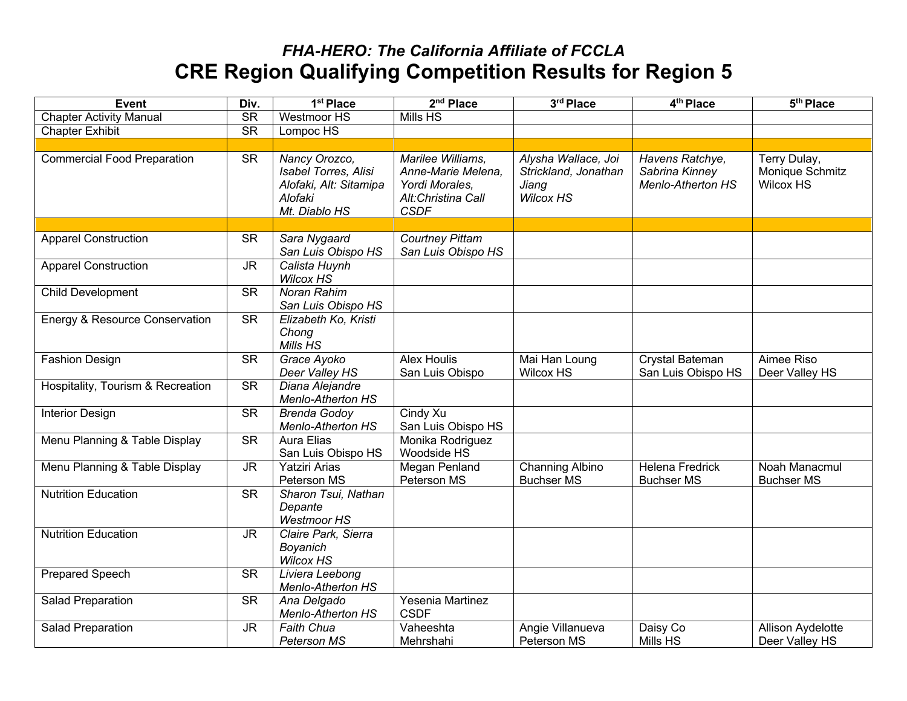| <b>Event</b>                      | Div.                              | 1 <sup>st</sup> Place                                                                       | 2 <sup>nd</sup> Place                                                                          | 3rd Place                                                                | $4th$ Place                                            | 5 <sup>th</sup> Place                               |
|-----------------------------------|-----------------------------------|---------------------------------------------------------------------------------------------|------------------------------------------------------------------------------------------------|--------------------------------------------------------------------------|--------------------------------------------------------|-----------------------------------------------------|
| <b>Chapter Activity Manual</b>    | $\overline{\text{SR}}$            | <b>Westmoor HS</b>                                                                          | <b>Mills HS</b>                                                                                |                                                                          |                                                        |                                                     |
| <b>Chapter Exhibit</b>            | $\overline{\text{SR}}$            | Lompoc HS                                                                                   |                                                                                                |                                                                          |                                                        |                                                     |
|                                   |                                   |                                                                                             |                                                                                                |                                                                          |                                                        |                                                     |
| Commercial Food Preparation       | <b>SR</b>                         | Nancy Orozco,<br>Isabel Torres, Alisi<br>Alofaki, Alt: Sitamipa<br>Alofaki<br>Mt. Diablo HS | Marilee Williams,<br>Anne-Marie Melena,<br>Yordi Morales,<br>Alt:Christina Call<br><b>CSDF</b> | Alysha Wallace, Joi<br>Strickland, Jonathan<br>Jiang<br><b>Wilcox HS</b> | Havens Ratchye,<br>Sabrina Kinney<br>Menlo-Atherton HS | Terry Dulay,<br>Monique Schmitz<br><b>Wilcox HS</b> |
|                                   |                                   |                                                                                             |                                                                                                |                                                                          |                                                        |                                                     |
| <b>Apparel Construction</b>       | <b>SR</b>                         | Sara Nygaard<br>San Luis Obispo HS                                                          | <b>Courtney Pittam</b><br>San Luis Obispo HS                                                   |                                                                          |                                                        |                                                     |
| <b>Apparel Construction</b>       | $\overline{\mathsf{J}\mathsf{R}}$ | Calista Huynh<br><b>Wilcox HS</b>                                                           |                                                                                                |                                                                          |                                                        |                                                     |
| <b>Child Development</b>          | $\overline{\text{SR}}$            | <b>Noran Rahim</b><br>San Luis Obispo HS                                                    |                                                                                                |                                                                          |                                                        |                                                     |
| Energy & Resource Conservation    | <b>SR</b>                         | Elizabeth Ko, Kristi<br>Chong<br>Mills HS                                                   |                                                                                                |                                                                          |                                                        |                                                     |
| <b>Fashion Design</b>             | <b>SR</b>                         | Grace Ayoko<br>Deer Valley HS                                                               | <b>Alex Houlis</b><br>San Luis Obispo                                                          | Mai Han Loung<br><b>Wilcox HS</b>                                        | Crystal Bateman<br>San Luis Obispo HS                  | Aimee Riso<br>Deer Valley HS                        |
| Hospitality, Tourism & Recreation | $\overline{\text{SR}}$            | Diana Alejandre<br><b>Menlo-Atherton HS</b>                                                 |                                                                                                |                                                                          |                                                        |                                                     |
| <b>Interior Design</b>            | $\overline{\text{SR}}$            | <b>Brenda Godoy</b><br>Menlo-Atherton HS                                                    | Cindy Xu<br>San Luis Obispo HS                                                                 |                                                                          |                                                        |                                                     |
| Menu Planning & Table Display     | <b>SR</b>                         | <b>Aura Elias</b><br>San Luis Obispo HS                                                     | Monika Rodriguez<br>Woodside HS                                                                |                                                                          |                                                        |                                                     |
| Menu Planning & Table Display     | <b>JR</b>                         | Yatziri Arias<br>Peterson MS                                                                | Megan Penland<br>Peterson MS                                                                   | Channing Albino<br><b>Buchser MS</b>                                     | <b>Helena Fredrick</b><br><b>Buchser MS</b>            | Noah Manacmul<br><b>Buchser MS</b>                  |
| <b>Nutrition Education</b>        | $\overline{\text{SR}}$            | Sharon Tsui, Nathan<br>Depante<br><b>Westmoor HS</b>                                        |                                                                                                |                                                                          |                                                        |                                                     |
| <b>Nutrition Education</b>        | <b>JR</b>                         | Claire Park, Sierra<br>Boyanich<br><b>Wilcox HS</b>                                         |                                                                                                |                                                                          |                                                        |                                                     |
| <b>Prepared Speech</b>            | $\overline{\text{SR}}$            | Liviera Leebong<br><b>Menlo-Atherton HS</b>                                                 |                                                                                                |                                                                          |                                                        |                                                     |
| Salad Preparation                 | <b>SR</b>                         | Ana Delgado<br><b>Menlo-Atherton HS</b>                                                     | Yesenia Martinez<br><b>CSDF</b>                                                                |                                                                          |                                                        |                                                     |
| Salad Preparation                 | <b>JR</b>                         | <b>Faith Chua</b><br>Peterson MS                                                            | Vaheeshta<br>Mehrshahi                                                                         | Angie Villanueva<br>Peterson MS                                          | Daisy Co<br>Mills HS                                   | Allison Aydelotte<br>Deer Valley HS                 |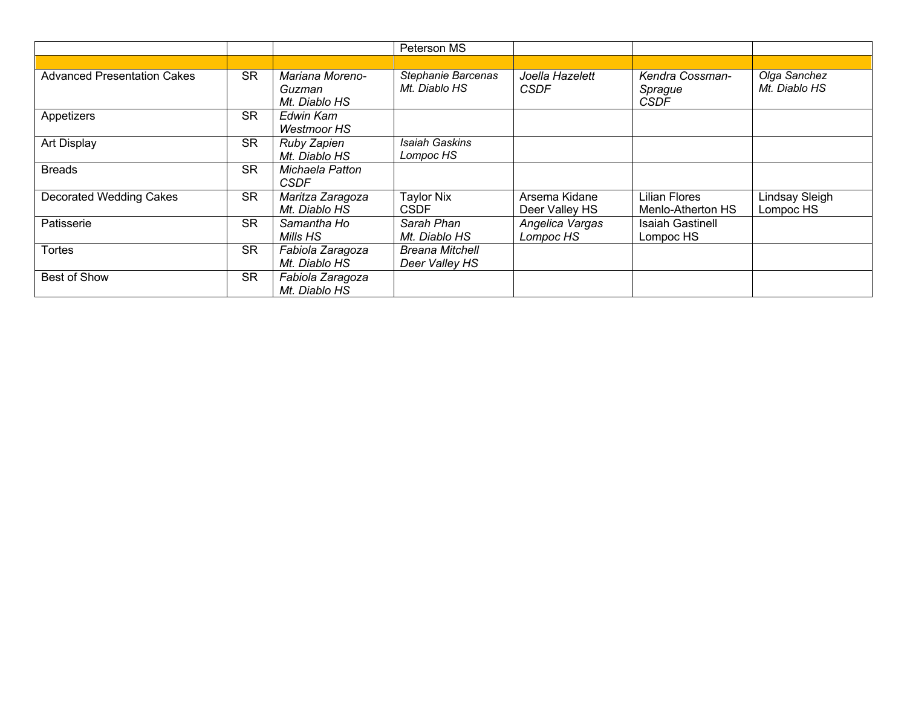|                                    |           |                                            | Peterson MS                              |                                 |                                           |                                    |
|------------------------------------|-----------|--------------------------------------------|------------------------------------------|---------------------------------|-------------------------------------------|------------------------------------|
|                                    |           |                                            |                                          |                                 |                                           |                                    |
| <b>Advanced Presentation Cakes</b> | <b>SR</b> | Mariana Moreno-<br>Guzman<br>Mt. Diablo HS | Stephanie Barcenas<br>Mt. Diablo HS      | Joella Hazelett<br><b>CSDF</b>  | Kendra Cossman-<br>Sprague<br><b>CSDF</b> | Olga Sanchez<br>Mt. Diablo HS      |
| Appetizers                         | <b>SR</b> | Edwin Kam<br><b>Westmoor HS</b>            |                                          |                                 |                                           |                                    |
| Art Display                        | <b>SR</b> | Ruby Zapien<br>Mt. Diablo HS               | Isaiah Gaskins<br>Lompoc HS              |                                 |                                           |                                    |
| <b>Breads</b>                      | <b>SR</b> | Michaela Patton<br><b>CSDF</b>             |                                          |                                 |                                           |                                    |
| <b>Decorated Wedding Cakes</b>     | <b>SR</b> | Maritza Zaragoza<br>Mt. Diablo HS          | <b>Taylor Nix</b><br><b>CSDF</b>         | Arsema Kidane<br>Deer Valley HS | <b>Lilian Flores</b><br>Menlo-Atherton HS | <b>Lindsay Sleigh</b><br>Lompoc HS |
| Patisserie                         | <b>SR</b> | Samantha Ho<br>Mills HS                    | Sarah Phan<br>Mt. Diablo HS              | Angelica Vargas<br>Lompoc HS    | <b>Isaiah Gastinell</b><br>Lompoc HS      |                                    |
| <b>Tortes</b>                      | <b>SR</b> | Fabiola Zaragoza<br>Mt. Diablo HS          | <b>Breana Mitchell</b><br>Deer Valley HS |                                 |                                           |                                    |
| Best of Show                       | <b>SR</b> | Fabiola Zaragoza<br>Mt. Diablo HS          |                                          |                                 |                                           |                                    |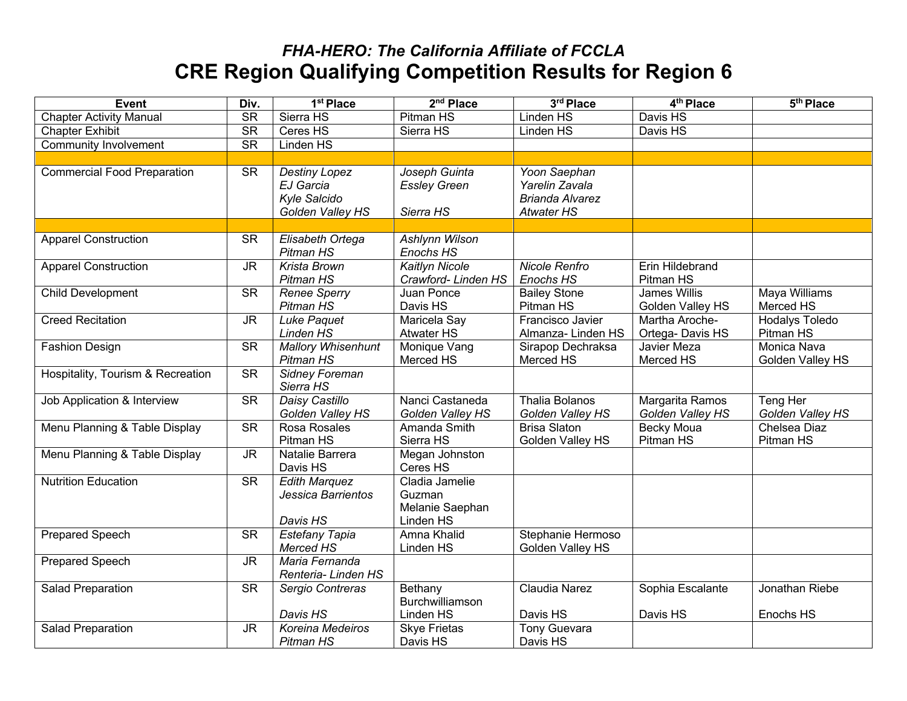| <b>Event</b>                       | Div.                              | 1 <sup>st</sup> Place                                                 | 2 <sup>nd</sup> Place                                    | 3rd Place                                                                     | 4 <sup>th</sup> Place                   | 5 <sup>th</sup> Place              |
|------------------------------------|-----------------------------------|-----------------------------------------------------------------------|----------------------------------------------------------|-------------------------------------------------------------------------------|-----------------------------------------|------------------------------------|
| <b>Chapter Activity Manual</b>     | $\overline{\text{SR}}$            | Sierra HS                                                             | <b>Pitman HS</b>                                         | <b>Linden HS</b>                                                              | Davis HS                                |                                    |
| <b>Chapter Exhibit</b>             | <b>SR</b>                         | Ceres $H\overline{S}$                                                 | Sierra HS                                                | Linden HS                                                                     | Davis HS                                |                                    |
| <b>Community Involvement</b>       | $\overline{\text{SR}}$            | Linden HS                                                             |                                                          |                                                                               |                                         |                                    |
|                                    |                                   |                                                                       |                                                          |                                                                               |                                         |                                    |
| <b>Commercial Food Preparation</b> | <b>SR</b>                         | <b>Destiny Lopez</b><br>EJ Garcia<br>Kyle Salcido<br>Golden Valley HS | Joseph Guinta<br><b>Essley Green</b><br>Sierra HS        | Yoon Saephan<br>Yarelin Zavala<br><b>Brianda Alvarez</b><br><b>Atwater HS</b> |                                         |                                    |
|                                    |                                   |                                                                       |                                                          |                                                                               |                                         |                                    |
| <b>Apparel Construction</b>        | <b>SR</b>                         | Elisabeth Ortega<br>Pitman HS                                         | Ashlynn Wilson<br>Enochs HS                              |                                                                               |                                         |                                    |
| <b>Apparel Construction</b>        | <b>JR</b>                         | Krista Brown<br>Pitman HS                                             | <b>Kaitlyn Nicole</b><br>Crawford-Linden HS              | Nicole Renfro<br>Enochs HS                                                    | Erin Hildebrand<br>Pitman HS            |                                    |
| <b>Child Development</b>           | $\overline{\text{SR}}$            | <b>Renee Sperry</b><br>Pitman HS                                      | Juan Ponce<br>Davis HS                                   | <b>Bailey Stone</b><br>Pitman HS                                              | <b>James Willis</b><br>Golden Valley HS | <b>Maya Williams</b><br>Merced HS  |
| <b>Creed Recitation</b>            | <b>JR</b>                         | <b>Luke Paquet</b><br>Linden HS                                       | Maricela Say<br><b>Atwater HS</b>                        | Francisco Javier<br>Almanza-Linden HS                                         | Martha Aroche-<br>Ortega-Davis HS       | <b>Hodalys Toledo</b><br>Pitman HS |
| <b>Fashion Design</b>              | <b>SR</b>                         | <b>Mallory Whisenhunt</b><br>Pitman HS                                | Monique Vang<br>Merced HS                                | Sirapop Dechraksa<br>Merced HS                                                | Javier Meza<br>Merced HS                | Monica Nava<br>Golden Valley HS    |
| Hospitality, Tourism & Recreation  | <b>SR</b>                         | Sidney Foreman<br>Sierra HS                                           |                                                          |                                                                               |                                         |                                    |
| Job Application & Interview        | <b>SR</b>                         | Daisy Castillo<br>Golden Valley HS                                    | Nanci Castaneda<br>Golden Valley HS                      | <b>Thalia Bolanos</b><br>Golden Valley HS                                     | Margarita Ramos<br>Golden Valley HS     | Teng Her<br>Golden Valley HS       |
| Menu Planning & Table Display      | $\overline{\text{SR}}$            | Rosa Rosales<br>Pitman HS                                             | Amanda Smith<br>Sierra HS                                | <b>Brisa Slaton</b><br>Golden Valley HS                                       | <b>Becky Moua</b><br>Pitman HS          | Chelsea Diaz<br>Pitman HS          |
| Menu Planning & Table Display      | $\overline{\mathsf{J}\mathsf{R}}$ | Natalie Barrera<br>Davis HS                                           | Megan Johnston<br>Ceres HS                               |                                                                               |                                         |                                    |
| <b>Nutrition Education</b>         | <b>SR</b>                         | <b>Edith Marquez</b><br>Jessica Barrientos<br>Davis HS                | Cladia Jamelie<br>Guzman<br>Melanie Saephan<br>Linden HS |                                                                               |                                         |                                    |
| <b>Prepared Speech</b>             | <b>SR</b>                         | Estefany Tapia<br>Merced HS                                           | Amna Khalid<br>Linden HS                                 | Stephanie Hermoso<br>Golden Valley HS                                         |                                         |                                    |
| <b>Prepared Speech</b>             | <b>JR</b>                         | Maria Fernanda<br>Renteria-Linden HS                                  |                                                          |                                                                               |                                         |                                    |
| Salad Preparation                  | $\overline{\text{SR}}$            | Sergio Contreras<br>Davis HS                                          | Bethany<br>Burchwilliamson<br>Linden HS                  | Claudia Narez<br>Davis HS                                                     | Sophia Escalante<br>Davis HS            | Jonathan Riebe<br>Enochs HS        |
| Salad Preparation                  | $\overline{\mathsf{J}\mathsf{R}}$ | Koreina Medeiros<br>Pitman HS                                         | <b>Skye Frietas</b><br>Davis HS                          | <b>Tony Guevara</b><br>Davis HS                                               |                                         |                                    |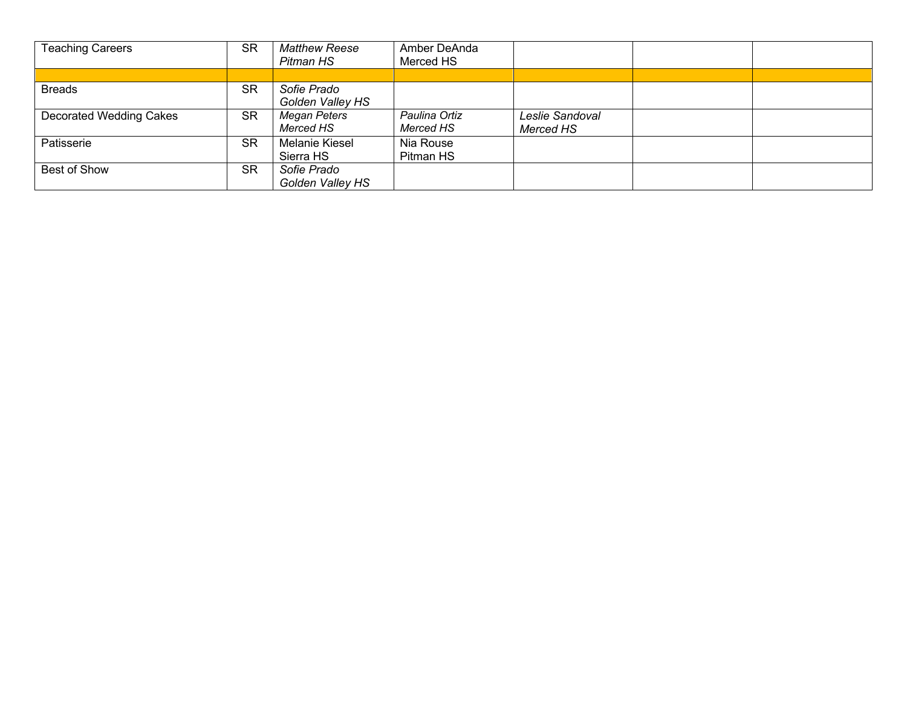| <b>Teaching Careers</b> | <b>SR</b> | <b>Matthew Reese</b> | Amber DeAnda  |                 |  |
|-------------------------|-----------|----------------------|---------------|-----------------|--|
|                         |           | Pitman HS            | Merced HS     |                 |  |
|                         |           |                      |               |                 |  |
| <b>Breads</b>           | <b>SR</b> | Sofie Prado          |               |                 |  |
|                         |           | Golden Valley HS     |               |                 |  |
| Decorated Wedding Cakes | <b>SR</b> | Megan Peters         | Paulina Ortiz | Leslie Sandoval |  |
|                         |           | Merced HS            | Merced HS     | Merced HS       |  |
| Patisserie              | <b>SR</b> | Melanie Kiesel       | Nia Rouse     |                 |  |
|                         |           | Sierra HS            | Pitman HS     |                 |  |
| Best of Show            | <b>SR</b> | Sofie Prado          |               |                 |  |
|                         |           | Golden Valley HS     |               |                 |  |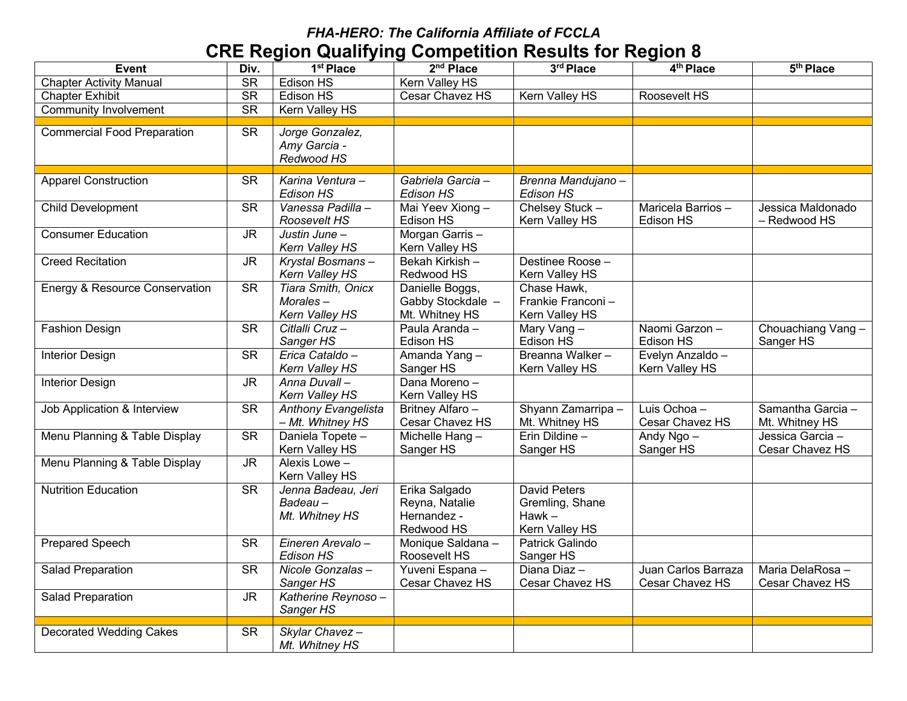| <b>Event</b>                              | Div.                              | 1 <sup>st</sup> Place          | 2 <sup>nd</sup> Place                | 3rd Place                                | 4 <sup>th</sup> Place | 5 <sup>th</sup> Place |
|-------------------------------------------|-----------------------------------|--------------------------------|--------------------------------------|------------------------------------------|-----------------------|-----------------------|
| <b>Chapter Activity Manual</b>            | <b>SR</b>                         | Edison HS                      | Kern Valley HS                       |                                          |                       |                       |
| <b>Chapter Exhibit</b>                    | $\overline{\text{SR}}$            | Edison HS                      | Cesar Chavez HS                      | Kern Valley HS                           | Roosevelt HS          |                       |
| <b>Community Involvement</b>              | $\overline{\text{SR}}$            | <b>Kern Valley HS</b>          |                                      |                                          |                       |                       |
| <b>Commercial Food Preparation</b>        | $\overline{\text{SR}}$            | Jorge Gonzalez,                |                                      |                                          |                       |                       |
|                                           |                                   | Amy Garcia -                   |                                      |                                          |                       |                       |
|                                           |                                   | Redwood HS                     |                                      |                                          |                       |                       |
|                                           |                                   |                                |                                      |                                          |                       |                       |
| <b>Apparel Construction</b>               | <b>SR</b>                         | Karina Ventura -               | Gabriela Garcia -                    | Brenna Mandujano -                       |                       |                       |
|                                           |                                   | Edison HS                      | Edison HS                            | Edison HS                                |                       |                       |
| <b>Child Development</b>                  | $\overline{\text{SR}}$            | Vanessa Padilla -              | Mai Yeev Xiong-                      | Chelsey Stuck-                           | Maricela Barrios-     | Jessica Maldonado     |
|                                           |                                   | Roosevelt HS                   | Edison HS                            | Kern Valley HS                           | Edison HS             | - Redwood HS          |
| <b>Consumer Education</b>                 | <b>JR</b>                         | Justin June -                  | Morgan Garris-                       |                                          |                       |                       |
|                                           |                                   | Kern Valley HS                 | Kern Valley HS                       |                                          |                       |                       |
| <b>Creed Recitation</b>                   | $\overline{\mathsf{J}\mathsf{R}}$ | Krystal Bosmans-               | Bekah Kirkish-                       | Destinee Roose -                         |                       |                       |
|                                           |                                   | Kern Valley HS                 | Redwood HS                           | Kern Valley HS                           |                       |                       |
| <b>Energy &amp; Resource Conservation</b> | <b>SR</b>                         | Tiara Smith, Onicx<br>Morales- | Danielle Boggs,<br>Gabby Stockdale - | Chase Hawk,<br>Frankie Franconi-         |                       |                       |
|                                           |                                   | Kern Valley HS                 | Mt. Whitney HS                       | Kern Valley HS                           |                       |                       |
| <b>Fashion Design</b>                     | $\overline{\text{SR}}$            | Citlalli Cruz-                 | Paula Aranda -                       | Mary Vang-                               | Naomi Garzon-         | Chouachiang Vang-     |
|                                           |                                   | Sanger HS                      | Edison HS                            | Edison HS                                | Edison HS             | Sanger HS             |
| <b>Interior Design</b>                    | $\overline{\text{SR}}$            | Erica Cataldo-                 | Amanda Yang-                         | Breanna Walker-                          | Evelyn Anzaldo -      |                       |
|                                           |                                   | Kern Valley HS                 | Sanger HS                            | Kern Valley HS                           | Kern Valley HS        |                       |
| <b>Interior Design</b>                    | <b>JR</b>                         | Anna Duvall-                   | Dana Moreno-                         |                                          |                       |                       |
|                                           |                                   | Kern Valley HS                 | Kern Valley HS                       |                                          |                       |                       |
| Job Application & Interview               | $\overline{\text{SR}}$            | Anthony Evangelista            | Britney Alfaro -                     | Shyann Zamarripa -                       | Luis Ochoa -          | Samantha Garcia-      |
|                                           |                                   | - Mt. Whitney HS               | Cesar Chavez HS                      | Mt. Whitney HS                           | Cesar Chavez HS       | Mt. Whitney HS        |
| Menu Planning & Table Display             | $\overline{\text{SR}}$            | Daniela Topete-                | Michelle Hang-                       | Erin Dildine -                           | Andy Ngo -            | Jessica Garcia -      |
|                                           |                                   | Kern Valley HS                 | Sanger HS                            | Sanger HS                                | Sanger HS             | Cesar Chavez HS       |
| Menu Planning & Table Display             | <b>JR</b>                         | Alexis Lowe -                  |                                      |                                          |                       |                       |
|                                           |                                   | Kern Valley HS                 |                                      |                                          |                       |                       |
| <b>Nutrition Education</b>                | <b>SR</b>                         | Jenna Badeau, Jeri             | Erika Salgado                        | <b>David Peters</b>                      |                       |                       |
|                                           |                                   | $Badeau -$                     | Reyna, Natalie                       | Gremling, Shane                          |                       |                       |
|                                           |                                   | Mt. Whitney HS                 | Hernandez -<br>Redwood HS            | $Hawk -$                                 |                       |                       |
| <b>Prepared Speech</b>                    | $\overline{\text{SR}}$            | Eineren Arevalo-               | Monique Saldana -                    | Kern Valley HS<br><b>Patrick Galindo</b> |                       |                       |
|                                           |                                   | Edison HS                      | Roosevelt HS                         | Sanger HS                                |                       |                       |
| Salad Preparation                         | <b>SR</b>                         | Nicole Gonzalas-               | Yuveni Espana -                      | Diana Diaz -                             | Juan Carlos Barraza   | Maria DelaRosa-       |
|                                           |                                   | Sanger HS                      | Cesar Chavez HS                      | Cesar Chavez HS                          | Cesar Chavez HS       | Cesar Chavez HS       |
| Salad Preparation                         | <b>JR</b>                         | Katherine Reynoso-             |                                      |                                          |                       |                       |
|                                           |                                   | Sanger HS                      |                                      |                                          |                       |                       |
|                                           |                                   |                                |                                      |                                          |                       |                       |
| <b>Decorated Wedding Cakes</b>            | <b>SR</b>                         | Skylar Chavez-                 |                                      |                                          |                       |                       |
|                                           |                                   | Mt. Whitney HS                 |                                      |                                          |                       |                       |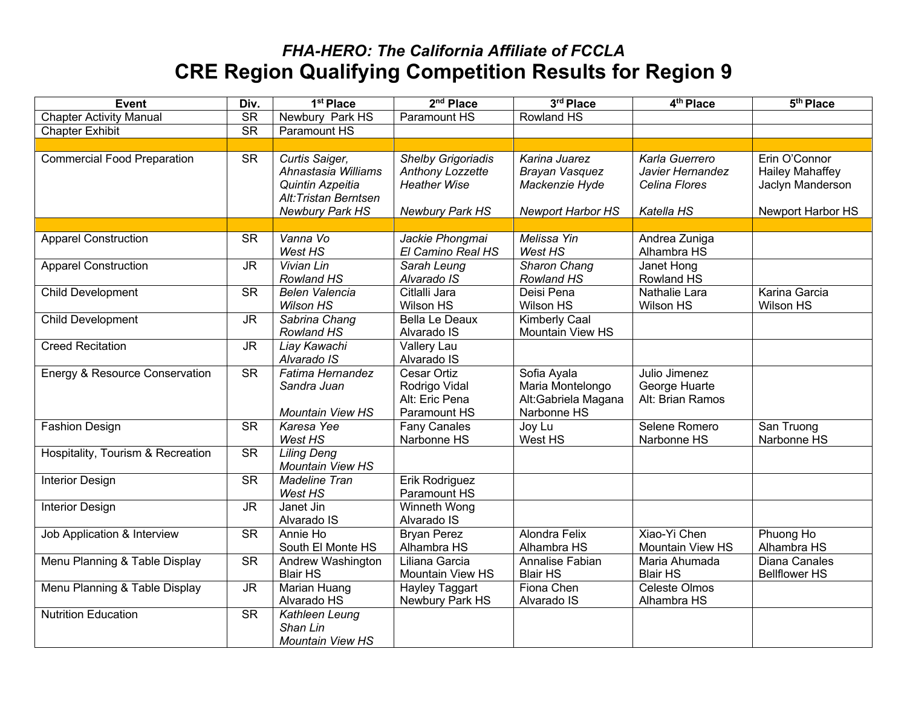| <b>Event</b>                       | Div.                              | 1 <sup>st</sup> Place                                                                                 | 2 <sup>nd</sup> Place                                                                                 | 3rd Place                                                                     | 4 <sup>th</sup> Place                                             | 5 <sup>th</sup> Place                                                            |
|------------------------------------|-----------------------------------|-------------------------------------------------------------------------------------------------------|-------------------------------------------------------------------------------------------------------|-------------------------------------------------------------------------------|-------------------------------------------------------------------|----------------------------------------------------------------------------------|
| <b>Chapter Activity Manual</b>     | $\overline{\text{SR}}$            | Newbury Park HS                                                                                       | Paramount HS                                                                                          | Rowland HS                                                                    |                                                                   |                                                                                  |
| <b>Chapter Exhibit</b>             | <b>SR</b>                         | Paramount HS                                                                                          |                                                                                                       |                                                                               |                                                                   |                                                                                  |
|                                    |                                   |                                                                                                       |                                                                                                       |                                                                               |                                                                   |                                                                                  |
| <b>Commercial Food Preparation</b> | <b>SR</b>                         | Curtis Saiger,<br>Ahnastasia Williams<br>Quintin Azpeitia<br>Alt: Tristan Berntsen<br>Newbury Park HS | <b>Shelby Grigoriadis</b><br><b>Anthony Lozzette</b><br><b>Heather Wise</b><br><b>Newbury Park HS</b> | Karina Juarez<br>Brayan Vasquez<br>Mackenzie Hyde<br><b>Newport Harbor HS</b> | Karla Guerrero<br>Javier Hernandez<br>Celina Flores<br>Katella HS | Erin O'Connor<br><b>Hailey Mahaffey</b><br>Jaclyn Manderson<br>Newport Harbor HS |
|                                    |                                   |                                                                                                       |                                                                                                       |                                                                               |                                                                   |                                                                                  |
| <b>Apparel Construction</b>        | <b>SR</b>                         | Vanna Vo<br>West HS                                                                                   | Jackie Phongmai<br>El Camino Real HS                                                                  | Melissa Yin<br>West HS                                                        | Andrea Zuniga<br>Alhambra HS                                      |                                                                                  |
| <b>Apparel Construction</b>        | $\overline{\mathsf{J}\mathsf{R}}$ | <b>Vivian Lin</b><br>Rowland HS                                                                       | Sarah Leung<br>Alvarado IS                                                                            | <b>Sharon Chang</b><br>Rowland HS                                             | Janet Hong<br>Rowland HS                                          |                                                                                  |
| <b>Child Development</b>           | $\overline{\text{SR}}$            | <b>Belen Valencia</b><br><b>Wilson HS</b>                                                             | Citlalli Jara<br><b>Wilson HS</b>                                                                     | Deisi Pena<br>Wilson HS                                                       | Nathalie Lara<br>Wilson HS                                        | Karina Garcia<br><b>Wilson HS</b>                                                |
| Child Development                  | <b>JR</b>                         | Sabrina Chang<br>Rowland HS                                                                           | <b>Bella Le Deaux</b><br>Alvarado IS                                                                  | <b>Kimberly Caal</b><br>Mountain View HS                                      |                                                                   |                                                                                  |
| <b>Creed Recitation</b>            | $\overline{\mathsf{J}\mathsf{R}}$ | Liay Kawachi<br>Alvarado IS                                                                           | Vallery Lau<br>Alvarado IS                                                                            |                                                                               |                                                                   |                                                                                  |
| Energy & Resource Conservation     | <b>SR</b>                         | Fatima Hernandez<br>Sandra Juan<br><b>Mountain View HS</b>                                            | <b>Cesar Ortiz</b><br>Rodrigo Vidal<br>Alt: Eric Pena<br>Paramount HS                                 | Sofia Ayala<br>Maria Montelongo<br>Alt:Gabriela Magana<br>Narbonne HS         | Julio Jimenez<br>George Huarte<br>Alt: Brian Ramos                |                                                                                  |
| <b>Fashion Design</b>              | $\overline{\text{SR}}$            | Karesa Yee<br>West HS                                                                                 | <b>Fany Canales</b><br>Narbonne HS                                                                    | Joy Lu<br>West HS                                                             | Selene Romero<br>Narbonne HS                                      | San Truong<br>Narbonne HS                                                        |
| Hospitality, Tourism & Recreation  | <b>SR</b>                         | <b>Liling Deng</b><br>Mountain View HS                                                                |                                                                                                       |                                                                               |                                                                   |                                                                                  |
| <b>Interior Design</b>             | $\overline{\text{SR}}$            | <b>Madeline Tran</b><br>West HS                                                                       | Erik Rodriguez<br>Paramount HS                                                                        |                                                                               |                                                                   |                                                                                  |
| <b>Interior Design</b>             | <b>JR</b>                         | Janet Jin<br>Alvarado IS                                                                              | Winneth Wong<br>Alvarado IS                                                                           |                                                                               |                                                                   |                                                                                  |
| Job Application & Interview        | <b>SR</b>                         | Annie Ho<br>South El Monte HS                                                                         | <b>Bryan Perez</b><br>Alhambra HS                                                                     | Alondra Felix<br>Alhambra HS                                                  | Xiao-Yi Chen<br><b>Mountain View HS</b>                           | Phuong Ho<br>Alhambra HS                                                         |
| Menu Planning & Table Display      | $\overline{\text{SR}}$            | Andrew Washington<br><b>Blair HS</b>                                                                  | Liliana Garcia<br>Mountain View HS                                                                    | Annalise Fabian<br><b>Blair HS</b>                                            | Maria Ahumada<br><b>Blair HS</b>                                  | Diana Canales<br><b>Bellflower HS</b>                                            |
| Menu Planning & Table Display      | <b>JR</b>                         | <b>Marian Huang</b><br>Alvarado HS                                                                    | <b>Hayley Taggart</b><br>Newbury Park HS                                                              | Fiona Chen<br>Alvarado IS                                                     | <b>Celeste Olmos</b><br>Alhambra HS                               |                                                                                  |
| <b>Nutrition Education</b>         | $\overline{\text{SR}}$            | <b>Kathleen Leung</b><br>Shan Lin<br>Mountain View HS                                                 |                                                                                                       |                                                                               |                                                                   |                                                                                  |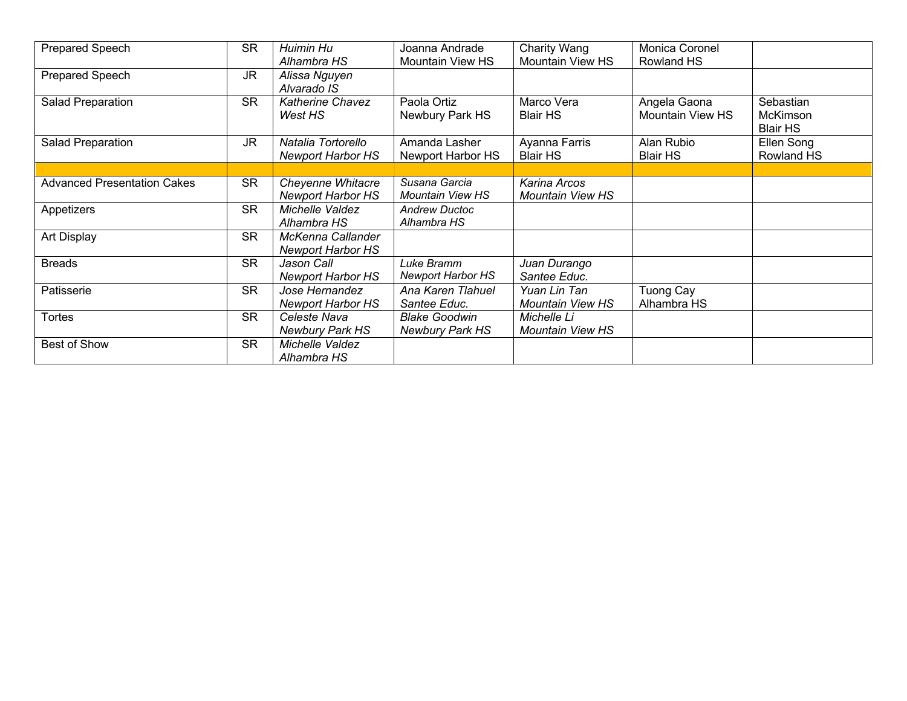| <b>Prepared Speech</b>             | <b>SR</b> | Huimin Hu                | Joanna Andrade           | Charity Wang            | Monica Coronel          |                 |
|------------------------------------|-----------|--------------------------|--------------------------|-------------------------|-------------------------|-----------------|
|                                    |           | Alhambra HS              | <b>Mountain View HS</b>  | <b>Mountain View HS</b> | <b>Rowland HS</b>       |                 |
| <b>Prepared Speech</b>             | <b>JR</b> | Alissa Nguyen            |                          |                         |                         |                 |
|                                    |           | Alvarado IS              |                          |                         |                         |                 |
| Salad Preparation                  | <b>SR</b> | <b>Katherine Chavez</b>  | Paola Ortiz              | Marco Vera              | Angela Gaona            | Sebastian       |
|                                    |           | West HS                  | Newbury Park HS          | <b>Blair HS</b>         | <b>Mountain View HS</b> | McKimson        |
|                                    |           |                          |                          |                         |                         | <b>Blair HS</b> |
| Salad Preparation                  | JR        | Natalia Tortorello       | Amanda Lasher            | Ayanna Farris           | Alan Rubio              | Ellen Song      |
|                                    |           | <b>Newport Harbor HS</b> | Newport Harbor HS        | <b>Blair HS</b>         | <b>Blair HS</b>         | Rowland HS      |
|                                    |           |                          |                          |                         |                         |                 |
| <b>Advanced Presentation Cakes</b> | <b>SR</b> | Cheyenne Whitacre        | Susana Garcia            | Karina Arcos            |                         |                 |
|                                    |           | <b>Newport Harbor HS</b> | <b>Mountain View HS</b>  | <b>Mountain View HS</b> |                         |                 |
| Appetizers                         | <b>SR</b> | Michelle Valdez          | <b>Andrew Ductoc</b>     |                         |                         |                 |
|                                    |           | Alhambra HS              | Alhambra HS              |                         |                         |                 |
| Art Display                        | <b>SR</b> | McKenna Callander        |                          |                         |                         |                 |
|                                    |           | <b>Newport Harbor HS</b> |                          |                         |                         |                 |
| <b>Breads</b>                      | <b>SR</b> | Jason Call               | Luke Bramm               | Juan Durango            |                         |                 |
|                                    |           | <b>Newport Harbor HS</b> | <b>Newport Harbor HS</b> | Santee Educ.            |                         |                 |
| Patisserie                         | <b>SR</b> | Jose Hernandez           | Ana Karen Tlahuel        | Yuan Lin Tan            | Tuong Cay               |                 |
|                                    |           | <b>Newport Harbor HS</b> | Santee Educ.             | Mountain View HS        | Alhambra HS             |                 |
| <b>Tortes</b>                      | <b>SR</b> | Celeste Nava             | <b>Blake Goodwin</b>     | Michelle Li             |                         |                 |
|                                    |           | <b>Newbury Park HS</b>   | <b>Newbury Park HS</b>   | <b>Mountain View HS</b> |                         |                 |
| Best of Show                       | <b>SR</b> | Michelle Valdez          |                          |                         |                         |                 |
|                                    |           | Alhambra HS              |                          |                         |                         |                 |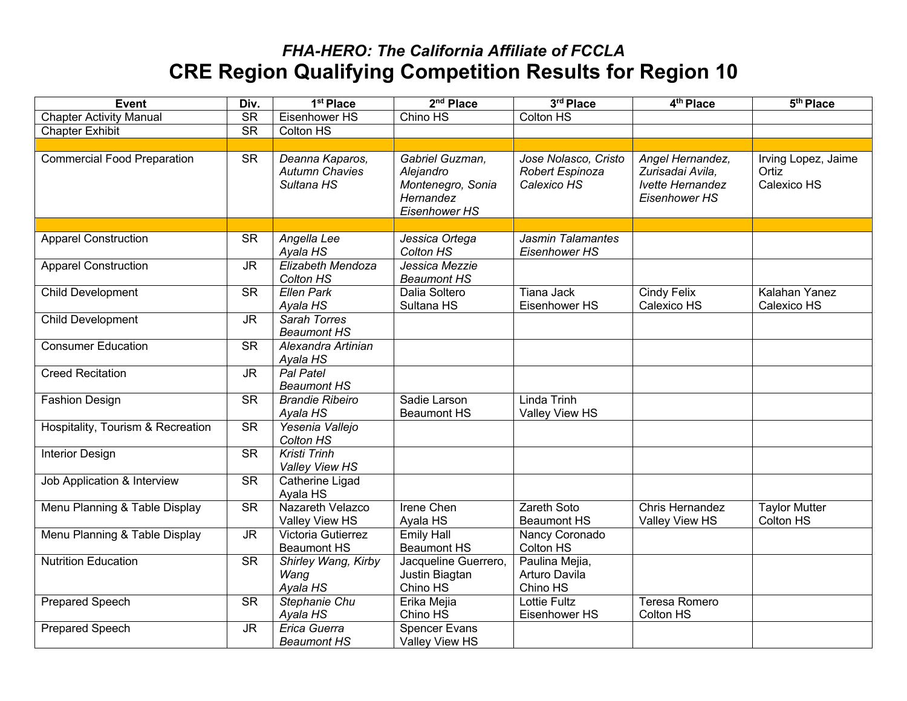| <b>Event</b>                       | Div.                              | 1 <sup>st</sup> Place                                  | $2nd$ Place                                                                     | 3rd Place                                              | 4 <sup>th</sup> Place                                                     | 5 <sup>th</sup> Place                       |
|------------------------------------|-----------------------------------|--------------------------------------------------------|---------------------------------------------------------------------------------|--------------------------------------------------------|---------------------------------------------------------------------------|---------------------------------------------|
| <b>Chapter Activity Manual</b>     | <b>SR</b>                         | Eisenhower HS                                          | Chino HS                                                                        | <b>Colton HS</b>                                       |                                                                           |                                             |
| <b>Chapter Exhibit</b>             | $\overline{\text{SR}}$            | <b>Colton HS</b>                                       |                                                                                 |                                                        |                                                                           |                                             |
|                                    |                                   |                                                        |                                                                                 |                                                        |                                                                           |                                             |
| <b>Commercial Food Preparation</b> | <b>SR</b>                         | Deanna Kaparos,<br><b>Autumn Chavies</b><br>Sultana HS | Gabriel Guzman,<br>Alejandro<br>Montenegro, Sonia<br>Hernandez<br>Eisenhower HS | Jose Nolasco, Cristo<br>Robert Espinoza<br>Calexico HS | Angel Hernandez,<br>Zurisadai Avila,<br>Ivette Hernandez<br>Eisenhower HS | Irving Lopez, Jaime<br>Ortiz<br>Calexico HS |
|                                    |                                   |                                                        |                                                                                 |                                                        |                                                                           |                                             |
| <b>Apparel Construction</b>        | <b>SR</b>                         | Angella Lee<br>Ayala HS                                | Jessica Ortega<br>Colton HS                                                     | Jasmin Talamantes<br>Eisenhower HS                     |                                                                           |                                             |
| <b>Apparel Construction</b>        | $\overline{\mathsf{J}\mathsf{R}}$ | Elizabeth Mendoza<br>Colton HS                         | Jessica Mezzie<br><b>Beaumont HS</b>                                            |                                                        |                                                                           |                                             |
| Child Development                  | $\overline{\text{SR}}$            | <b>Ellen Park</b><br>Ayala HS                          | Dalia Soltero<br>Sultana HS                                                     | <b>Tiana Jack</b><br>Eisenhower HS                     | <b>Cindy Felix</b><br>Calexico HS                                         | Kalahan Yanez<br>Calexico HS                |
| Child Development                  | <b>JR</b>                         | <b>Sarah Torres</b><br><b>Beaumont HS</b>              |                                                                                 |                                                        |                                                                           |                                             |
| <b>Consumer Education</b>          | <b>SR</b>                         | Alexandra Artinian<br>Ayala HS                         |                                                                                 |                                                        |                                                                           |                                             |
| <b>Creed Recitation</b>            | <b>JR</b>                         | Pal Patel<br><b>Beaumont HS</b>                        |                                                                                 |                                                        |                                                                           |                                             |
| <b>Fashion Design</b>              | <b>SR</b>                         | <b>Brandie Ribeiro</b><br>Ayala HS                     | Sadie Larson<br><b>Beaumont HS</b>                                              | Linda Trinh<br>Valley View HS                          |                                                                           |                                             |
| Hospitality, Tourism & Recreation  | $\overline{\text{SR}}$            | Yesenia Vallejo<br>Colton HS                           |                                                                                 |                                                        |                                                                           |                                             |
| <b>Interior Design</b>             | <b>SR</b>                         | <b>Kristi Trinh</b><br>Valley View HS                  |                                                                                 |                                                        |                                                                           |                                             |
| Job Application & Interview        | <b>SR</b>                         | Catherine Ligad<br>Ayala HS                            |                                                                                 |                                                        |                                                                           |                                             |
| Menu Planning & Table Display      | $\overline{\text{SR}}$            | Nazareth Velazco<br>Valley View HS                     | <b>Irene Chen</b><br>Ayala HS                                                   | <b>Zareth Soto</b><br><b>Beaumont HS</b>               | Chris Hernandez<br>Valley View HS                                         | <b>Taylor Mutter</b><br>Colton HS           |
| Menu Planning & Table Display      | <b>JR</b>                         | Victoria Gutierrez<br><b>Beaumont HS</b>               | <b>Emily Hall</b><br><b>Beaumont HS</b>                                         | Nancy Coronado<br>Colton HS                            |                                                                           |                                             |
| <b>Nutrition Education</b>         | <b>SR</b>                         | Shirley Wang, Kirby<br>Wang<br>Ayala HS                | Jacqueline Guerrero,<br>Justin Biagtan<br>Chino HS                              | Paulina Mejia,<br>Arturo Davila<br>Chino HS            |                                                                           |                                             |
| <b>Prepared Speech</b>             | <b>SR</b>                         | Stephanie Chu<br>Ayala HS                              | Erika Mejia<br>Chino HS                                                         | <b>Lottie Fultz</b><br>Eisenhower HS                   | Teresa Romero<br>Colton HS                                                |                                             |
| <b>Prepared Speech</b>             | <b>JR</b>                         | Erica Guerra<br><b>Beaumont HS</b>                     | <b>Spencer Evans</b><br>Valley View HS                                          |                                                        |                                                                           |                                             |